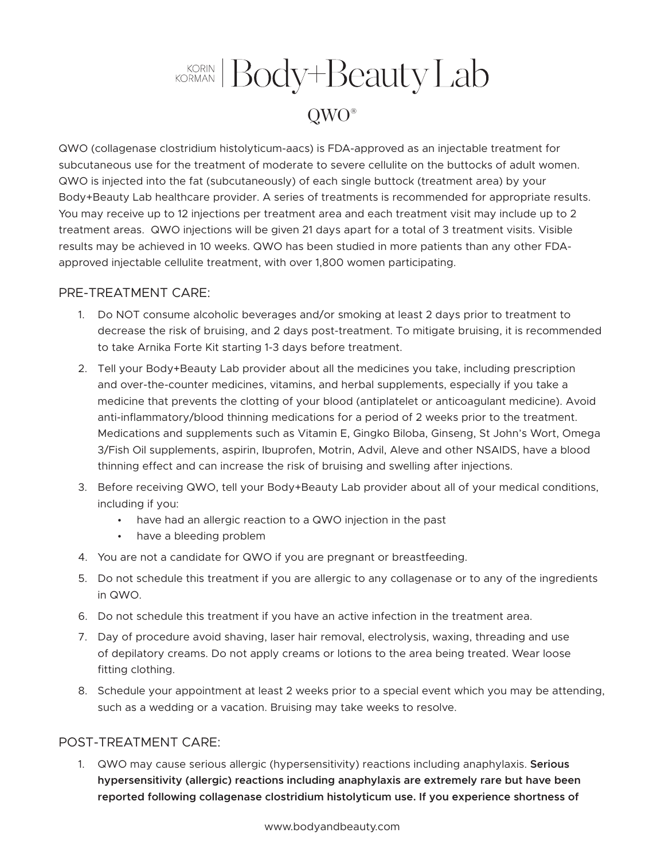## KORIAN Body+Beauty Lab QWO®

QWO (collagenase clostridium histolyticum-aacs) is FDA-approved as an injectable treatment for subcutaneous use for the treatment of moderate to severe cellulite on the buttocks of adult women. QWO is injected into the fat (subcutaneously) of each single buttock (treatment area) by your Body+Beauty Lab healthcare provider. A series of treatments is recommended for appropriate results. You may receive up to 12 injections per treatment area and each treatment visit may include up to 2 treatment areas. QWO injections will be given 21 days apart for a total of 3 treatment visits. Visible results may be achieved in 10 weeks. QWO has been studied in more patients than any other FDAapproved injectable cellulite treatment, with over 1,800 women participating.

## PRE-TREATMENT CARE:

- 1. Do NOT consume alcoholic beverages and/or smoking at least 2 days prior to treatment to decrease the risk of bruising, and 2 days post-treatment. To mitigate bruising, it is recommended to take Arnika Forte Kit starting 1-3 days before treatment.
- 2. Tell your Body+Beauty Lab provider about all the medicines you take, including prescription and over-the-counter medicines, vitamins, and herbal supplements, especially if you take a medicine that prevents the clotting of your blood (antiplatelet or anticoagulant medicine). Avoid anti-inflammatory/blood thinning medications for a period of 2 weeks prior to the treatment. Medications and supplements such as Vitamin E, Gingko Biloba, Ginseng, St John's Wort, Omega 3/Fish Oil supplements, aspirin, Ibuprofen, Motrin, Advil, Aleve and other NSAIDS, have a blood thinning effect and can increase the risk of bruising and swelling after injections.
- 3. Before receiving QWO, tell your Body+Beauty Lab provider about all of your medical conditions, including if you:
	- have had an allergic reaction to a QWO injection in the past
	- have a bleeding problem
- 4. You are not a candidate for QWO if you are pregnant or breastfeeding.
- 5. Do not schedule this treatment if you are allergic to any collagenase or to any of the ingredients in QWO.
- 6. Do not schedule this treatment if you have an active infection in the treatment area.
- 7. Day of procedure avoid shaving, laser hair removal, electrolysis, waxing, threading and use of depilatory creams. Do not apply creams or lotions to the area being treated. Wear loose fitting clothing.
- 8. Schedule your appointment at least 2 weeks prior to a special event which you may be attending, such as a wedding or a vacation. Bruising may take weeks to resolve.

## POST-TREATMENT CARE:

1. QWO may cause serious allergic (hypersensitivity) reactions including anaphylaxis. **Serious hypersensitivity (allergic) reactions including anaphylaxis are extremely rare but have been reported following collagenase clostridium histolyticum use. If you experience shortness of**